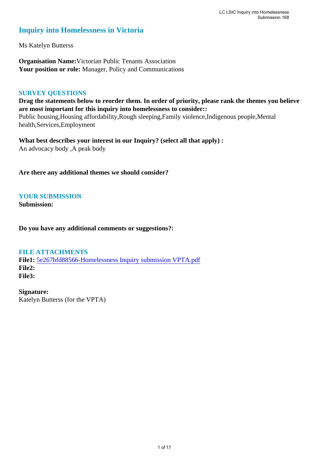#### **Inquiry into Homelessness in Victoria**

Ms Katelyn Butterss

**Organisation Name:**Victorian Public Tenants Association **Your position or role:** Manager, Policy and Communications

#### **SURVEY QUESTIONS**

**Drag the statements below to reorder them. In order of priority, please rank the themes you believe are most important for this inquiry into homelessness to consider::**  Public housing,Housing affordability,Rough sleeping,Family violence,Indigenous people,Mental health,Services,Employment

**What best describes your interest in our Inquiry? (select all that apply) :**  An advocacy body ,A peak body

**Are there any additional themes we should consider?**

#### **YOUR SUBMISSION**

**Submission:** 

**Do you have any additional comments or suggestions?:** 

#### **FILE ATTACHMENTS**

**File1:** [5e267bfd88566-Homelessness Inquiry submission VPTA.pdf](https://www.parliament.vic.gov.au/component/rsform/submission-view-file/0e241542f59cab6f12e1df63bac469f5/0e35fcd9d3071e7801143396a3e55362?Itemid=527) **File2: File3:** 

**Signature:** Katelyn Butterss (for the VPTA)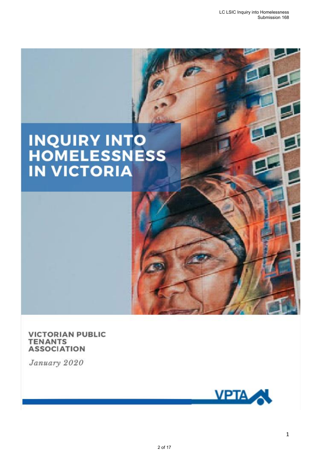# **INQUIRY INTO<br>HOMELESSNESS<br>IN VICTORIA**

**VICTORIAN PUBLIC TENANTS ASSOCIATION** 

January 2020

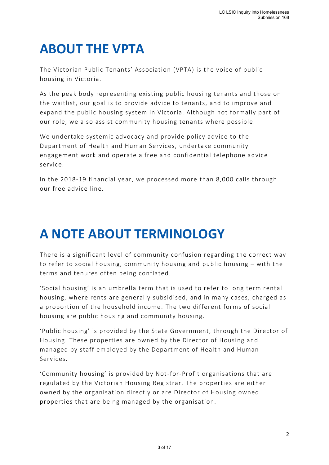## **ABOUT THE VPTA**

The Victorian Public Tenants' Association (VPTA) is the voice of public housing in Victoria.

As the peak body representing existing public housing tenants and those on the waitlist, our goal is to provide advice to tenants, and to improve and expand the public housing system in Victoria. Although not formally part of our role, we also assist community housing tenants where possible.

We undertake systemic advocacy and provide policy advice to the Department of Health and Human Services, undertake community engagement work and operate a free and confidential telephone advice service.

In the 2018-19 financial year, we processed more than 8,000 calls through our free advice line.

## **A NOTE ABOUT TERMINOLOGY**

There is a significant level of community confusion regarding the correct way to refer to social housing, community housing and public housing – with the terms and tenures often being conflated.

'Social housing' is an umbrella term that is used to refer to long term rental housing, where rents are generally subsidised, and in many cases, charged as a proportion of the household income. The two different forms of social housing are public housing and community housing.

'Public housing' is provided by the State Government, through the Director of Housing. These properties are owned by the Director of Housing and managed by staff employed by the Department of Health and Human Services.

'Community housing' is provided by Not-for-Profit organisations that are regulated by the Victorian Housing Registrar. The properties are either owned by the organisation directly or are Director of Housing owned properties that are being managed by the organisation.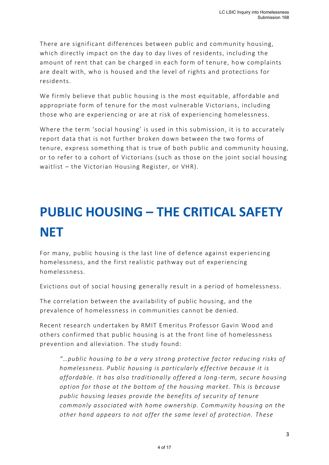There are significant differences between public and community housing, which directly impact on the day to day lives of residents, including the amount of rent that can be charged in each form of tenure, how complaints are dealt with, who is housed and the level of rights and protections for residents.

We firmly believe that public housing is the most equitable, affordable and appropriate form of tenure for the most vulnerable Victorians, including those who are experiencing or are at risk of experiencing homelessness.

Where the term 'social housing' is used in this submission, it is to accurately report data that is not further broken down between the two forms of tenure, express something that is true of both public and community housing, or to refer to a cohort of Victorians (such as those on the joint social housing waitlist – the Victorian Housing Register, or VHR).

# **PUBLIC HOUSING – THE CRITICAL SAFETY NET**

For many, public housing is the last line of defence against experiencing homelessness, and the first realistic pathway out of experiencing homelessness.

Evictions out of social housing generally result in a period of homelessness.

The correlation between the availability of public housing, and the prevalence of homelessness in communities cannot be denied.

Recent research undertaken by RMIT Emeritus Professor Gavin Wood and others confirmed that public housing is at the front line of homelessness prevention and alleviation. The study found:

*"…public housing to be a very strong protective factor reducing risks of homelessness. Public housing is particularly effective because it is affordable. It has also traditionally offered a long -term, secure housing option for those at the bottom of the housing market. This is because public housing leases provide the benefits of security of tenure commonly associated with home ownership. Community housing on the other hand appears to not offer the same level of protection. These*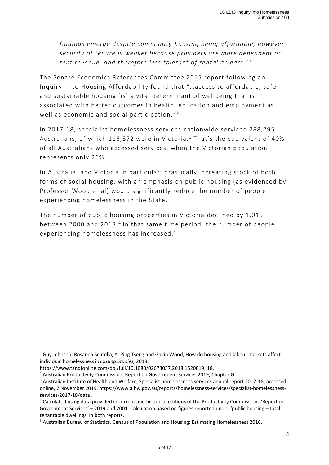*findings emerge despite community housing being affordable, however security of tenure is weaker because providers are more dependent on rent revenue, and therefore less tolerant of rental arrears."* <sup>1</sup>

The Senate Economics References Committee 2015 report following an Inquiry in to Housing Affordability found that "…access to affordable, safe and sustainable housing [is] a vital determinant of wellbeing that is associated with better outcomes in health, education and employment as well as economic and social participation."<sup>2</sup>

In 2017-18, specialist homelessness services nationwide serviced 288,795 Australians, of which 116,872 were in Victoria.<sup>3</sup> That's the equivalent of 40% of all Australians who accessed services, when the Victorian population represents only 26%.

In Australia, and Victoria in particular, drastically increasing stock of both forms of social housing, with an emphasis on public housing (as evidenced by Professor Wood et al) would significantly reduce the number of people experiencing homelessness in the State.

The number of public housing properties in Victoria declined by 1,015 between 2000 and 2018. 4 In that same time period, the number of people experiencing homelessness has increased. <sup>5</sup>

<sup>&</sup>lt;sup>1</sup> Guy Johnson, Rosanna Scutella, Yi-Ping Tseng and Gavin Wood, How do housing and labour markets affect individual homelessness? *Housing Studies,* 2018,

https://www.tandfonline.com/doi/full/10.1080/02673037.2018.1520819, 18.

<sup>2</sup> Australian Productivity Commission, Report on Government Services 2019, Chapter G.

<sup>&</sup>lt;sup>3</sup> Australian Institute of Health and Welfare, Specialist homelessness services annual report 2017-18, accessed online, 7 November 2019. https://www.aihw.gov.au/reports/homelessness-services/specialist-homelessnessservices-2017-18/data .

<sup>4</sup> Calculated using data provided in current and historical editions of the Productivity Commissions 'Report on Government Services' – 2019 and 2001. Calculation based on figures reported under 'public housing – total tenantable dwellings' in both reports.

<sup>5</sup> Australian Bureau of Statistics, Census of Population and Housing: Estimating Homelessness 2016.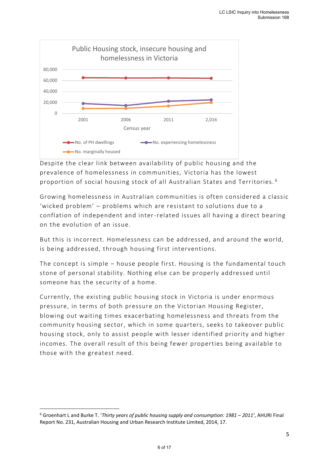

Despite the clear link between availability of public housing and the prevalence of homelessness in communities, Victoria has the lowest proportion of social housing stock of all Australian States and Territories. <sup>6</sup>

Growing homelessness in Australian communities is often considered a classic 'wicked problem' – problems which are resistant to solutions due to a conflation of independent and inter-related issues all having a direct bearing on the evolution of an issue.

But this is incorrect. Homelessness can be addressed, and around the world, is being addressed, through housing first interventions.

The concept is simple – house people first. Housing is the fundamental touch stone of personal stability. Nothing else can be properly addressed until someone has the security of a home.

Currently, the existing public housing stock in Victoria is under enormous pressure, in terms of both pressure on the Victorian Housing Register, blowing out waiting times exacerbating homelessness and threats from the community housing sector, which in some quarters, seeks to takeover public housing stock, only to assist people with lesser identified priority and higher incomes. The overall result of this being fewer properties being available to those with the greatest need.

<sup>6</sup> Groenhart L and Burke T. '*Thirty years of public housing supply and consumption: 1981 – 2011'*, AHURI Final Report No. 231, Australian Housing and Urban Research Institute Limited, 2014, 17.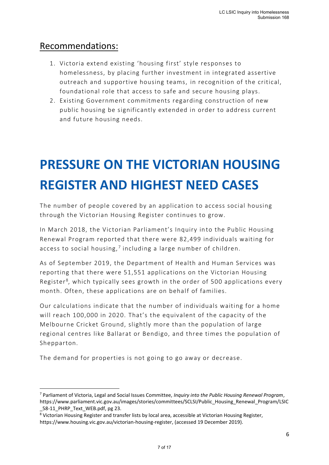#### Recommendations:

- 1. Victoria extend existing 'housing first' style responses to homelessness, by placing further investment in integrated assertive outreach and supportive housing teams, in recognition of the critical, foundational role that access to safe and secure housing plays.
- 2. Existing Government commitments regarding construction of new public housing be significantly extended in order to address current and future housing needs.

## **PRESSURE ON THE VICTORIAN HOUSING REGISTER AND HIGHEST NEED CASES**

The number of people covered by an application to access social housing through the Victorian Housing Register continues to grow.

In March 2018, the Victorian Parliament's Inquiry in to the Public Housing Renewal Program reported that there were 82,499 individuals waiting for access to social housing,<sup>7</sup> including a large number of children.

As of September 2019, the Department of Health and Human Services was reporting that there were 51,551 applications on the Victorian Housing Register<sup>8</sup>, which typically sees growth in the order of 500 applications every month. Often, these applications are on behalf of families.

Our calculations indicate that the number of individuals waiting for a home will reach 100,000 in 2020. That's the equivalent of the capacity of the Melbourne Cricket Ground, slightly more than the population of large regional centres like Ballarat or Bendigo, and three times the population of Shepparton.

The demand for properties is not going to go away or decrease.

<sup>7</sup> Parliament of Victoria, Legal and Social Issues Committee, *Inquiry into the Public Housing Renewal Program*, https://www.parliament.vic.gov.au/images/stories/committees/SCLSI/Public\_Housing\_Renewal\_Program/LSIC 58-11 PHRP Text WEB.pdf, pg 23.

<sup>8</sup> Victorian Housing Register and transfer lists by local area, accessible at Victorian Housing Register, https://www.housing.vic.gov.au/victorian-housing-register, (accessed 19 December 2019).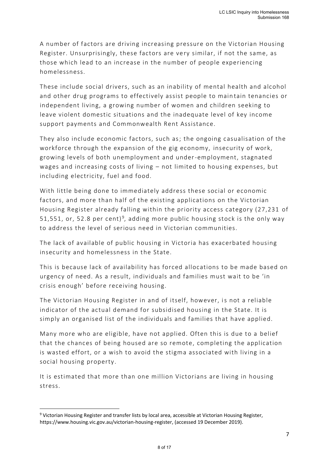A number of factors are driving increasing pressure on the Victorian Housing Register. Unsurprisingly, these factors are very similar, if not the same, as those which lead to an increase in the number of people experiencing homelessness.

These include social drivers, such as an inability of mental health and alcohol and other drug programs to effectively assist people to main tain tenancies or independent living, a growing number of women and children seeking to leave violent domestic situations and the inadequate level of key income support payments and Commonwealth Rent Assistance.

They also include economic factors, such as; the ongoing casualisation of the workforce through the expansion of the gig economy, insecurity of work, growing levels of both unemployment and under-employment, stagnated wages and increasing costs of living – not limited to housing expenses, but including electricity, fuel and food.

With little being done to immediately address these social or economic factors, and more than half of the existing applications on the Victorian Housing Register already falling within the priority access category (27,231 of 51,551, or, 52.8 per cent)<sup>9</sup>, adding more public housing stock is the only way to address the level of serious need in Victorian communities.

The lack of available of public housing in Victoria has exacerbated housing insecurity and homelessness in the State.

This is because lack of availability has forced allocations to be made based on urgency of need. As a result, individuals and families must wait to be 'in crisis enough' before receiving housing.

The Victorian Housing Register in and of itself, however, is not a reliable indicator of the actual demand for subsidised housing in the State. It is simply an organised list of the individuals and families that have applied.

Many more who are eligible, have not applied. Often this is due to a belief that the chances of being housed are so remote, completing the application is wasted effort, or a wish to avoid the stigma associated with living in a social housing property.

It is estimated that more than one million Victorians are living in housing stress.

<sup>9</sup> Victorian Housing Register and transfer lists by local area, accessible at Victorian Housing Register, https://www.housing.vic.gov.au/victorian-housing-register, (accessed 19 December 2019).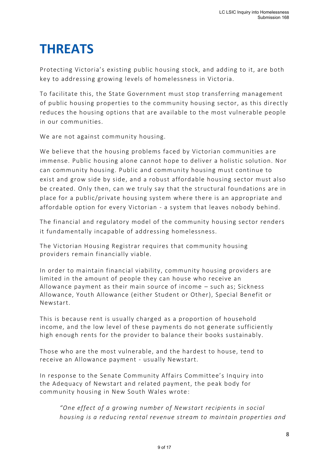## **THREATS**

Protecting Victoria's existing public housing stock, and adding to it, are both key to addressing growing levels of homelessness in Victoria.

To facilitate this, the State Government must stop transferring management of public housing properties to the community housing sector, as this directly reduces the housing options that are available to the most vulnerable people in our communities.

We are not against community housing.

We believe that the housing problems faced by Victorian communities a re immense. Public housing alone cannot hope to deliver a holistic solution. Nor can community housing. Public and community housing must continue to exist and grow side by side, and a robust affordable housing sector must also be created. Only then, can we truly say that the structural foundations are in place for a public/private housing system where there is an appropriate and affordable option for every Victorian - a system that leaves nobody behind.

The financial and regulatory model of the community housing sector renders it fundamentally incapable of addressing homelessness.

The Victorian Housing Registrar requires that community housing providers remain financially viable.

In order to maintain financial viability, community housing providers are limited in the amount of people they can house who receive an Allowance payment as their main source of income – such as; Sickness Allowance, Youth Allowance (either Student or Other), Special Benefit or Newstart.

This is because rent is usually charged as a proportion of household income, and the low level of these payments do not generate sufficiently high enough rents for the provider to balance their books sustainably.

Those who are the most vulnerable, and the hardest to house, tend to receive an Allowance payment - usually Newstart.

In response to the Senate Community Affairs Committee's Inquiry into the Adequacy of Newstart and related payment, the peak body for community housing in New South Wales wrote :

*"One effect of a growing number of Newstart recipients in social housing is a reducing rental revenue stream to maintain properties and*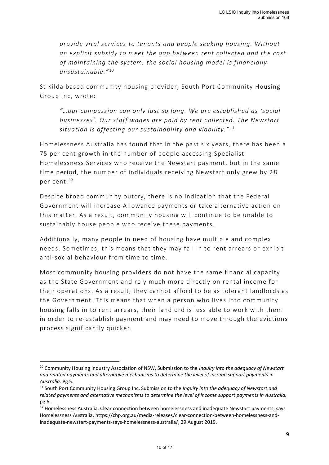*provide vital services to tenants and people seeking housing. Without an explicit subsidy to meet the gap between rent collected and the cost of maintaining the system, the social housing model is financially unsustainable."* <sup>10</sup>

St Kilda based community housing provider, South Port Community Housing Group Inc, wrote:

*"…our compassion can only last so long. We are established as 'social businesses'. Our staff wages are paid by rent collected. The Newstart situation is affecting our sustainability and viability."* <sup>11</sup>

Homelessness Australia has found that in the past six years, there has been a 75 per cent growth in the number of people accessing Specialist Homelessness Services who receive the Newstart payment, but in the same time period, the number of individuals receiving Newstart only grew by 2 8 per cent. <sup>12</sup>

Despite broad community outcry, there is no indication that the Federal Government will increase Allowance payments or take alternative action on this matter. As a result, community housing will continue to be unable to sustainably house people who receive these payments.

Additionally, many people in need of housing have multiple and complex needs. Sometimes, this means that they may fall in to rent arrears or exhibit anti-social behaviour from time to time.

Most community housing providers do not have the same financial capacity as the State Government and rely much more directly on rental income for their operations. As a result, they cannot afford to be as tolerant landlords as the Government. This means that when a person who lives into community housing falls in to rent arrears, their landlord is less able to work with them in order to re-establish payment and may need to move through the evictions process significantly quicker.

<sup>10</sup> Community Housing Industry Association of NSW, Submission to the *Inquiry into the adequacy of Newstart and related payments and alternative mechanisms to determine the level of income support payments in Australia.* Pg 5.

<sup>11</sup> South Port Community Housing Group Inc, Submission to the *Inquiry into the adequacy of Newstart and related payments and alternative mechanisms to determine the level of income support payments in Australia,*  pg 6.

<sup>&</sup>lt;sup>12</sup> Homelessness Australia, Clear connection between homelessness and inadequate Newstart payments, says Homelessness Australia, https://chp.org.au/media-releases/clear-connection-between-homelessness-andinadequate-newstart-payments-says-homelessness-australia/, 29 August 2019.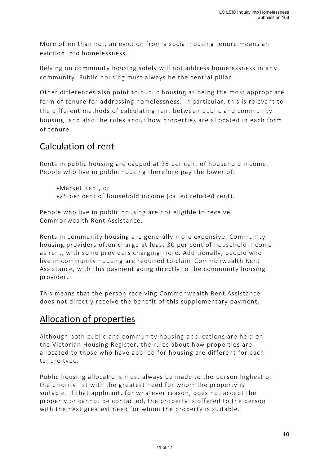More often than not, an eviction from a social housing tenure means an eviction into homelessness.

Relying on community housing solely will not address homelessness in an y community. Public housing must always be the central pillar.

Other differences also point to public housing as being the most appropriate form of tenure for addressing homelessness. In particular, this is relevant to the different methods of calculating rent between public and community housing, and also the rules about how properties are allocated in each form of tenure.

### Calculation of rent

Rents in public housing are capped at 25 per cent of household income. People who live in public housing therefore pay the lower of:

- •Market Rent, or
- •25 per cent of household income (called rebated rent).

People who live in public housing are not eligible to receive Commonwealth Rent Assistance.

Rents in community housing are generally more expensive. Community housing providers often charge at least 30 per cent of household income as rent, with some providers charging more. Additionally, people who live in community housing are required to claim Commonwealth Rent Assistance, with this payment going directly to the community housing provider.

This means that the person receiving Commonwealth Rent Assistance does not directly receive the benefit of this supplementary payment.

### Allocation of properties

Although both public and community housing applications are held on the Victorian Housing Register, the rules about how properties are allocated to those who have applied for housing are different for each tenure type.

Public housing allocations must always be made to the person highest on the priority list with the greatest need for whom the property is suitable. If that applicant, for whatever reason, does not accept the property or cannot be contacted, the property is offered to the person with the next greatest need for whom the property is suitable.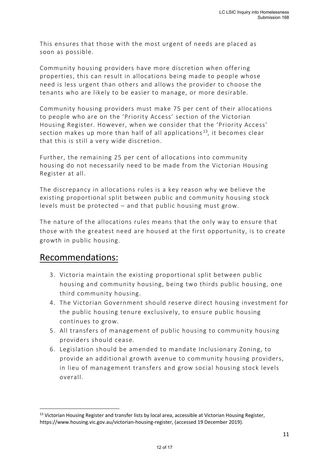This ensures that those with the most urgent of needs are placed as soon as possible.

Community housing providers have more discretion when offering properties, this can result in allocations being made to people whose need is less urgent than others and allows the provider to choose the tenants who are likely to be easier to manage, or more desirable.

Community housing providers must make 75 per cent of their allocations to people who are on the 'Priority Access' section of the Victorian Housing Register. However, when we consider that the 'Priority Access' section makes up more than half of all applications<sup>13</sup>, it becomes clear that this is still a very wide discretion.

Further, the remaining 25 per cent of allocations into community housing do not necessarily need to be made from the Victorian Housing Register at all.

The discrepancy in allocations rules is a key reason why we believe the existing proportional split between public and community housing stock levels must be protected – and that public housing must grow.

The nature of the allocations rules means that the only way to ensure that those with the greatest need are housed at the first opportunity, is to create growth in public housing.

#### Recommendations:

- 3. Victoria maintain the existing proportional split between public housing and community housing, being two thirds public housing, one third community housing.
- 4. The Victorian Government should reserve direct housing investment for the public housing tenure exclusively, to ensure public housing continues to grow.
- 5. All transfers of management of public housing to community housing providers should cease.
- 6. Legislation should be amended to mandate Inclusionary Zoning, to provide an additional growth avenue to community housing providers, in lieu of management transfers and grow social housing stock levels overall.

<sup>&</sup>lt;sup>13</sup> Victorian Housing Register and transfer lists by local area, accessible at Victorian Housing Register, https://www.housing.vic.gov.au/victorian-housing-register, (accessed 19 December 2019).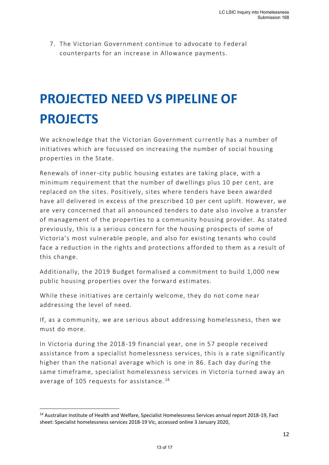7. The Victorian Government continue to advocate to Federal counterparts for an increase in Allowance payments.

## **PROJECTED NEED VS PIPELINE OF PROJECTS**

We acknowledge that the Victorian Government currently has a number of initiatives which are focussed on increasing the number of social housing properties in the State.

Renewals of inner-city public housing estates are taking place, with a minimum requirement that the number of dwellings plus 10 per cent, are replaced on the sites. Positively, sites where tenders have been awarded have all delivered in excess of the prescribed 10 per cent uplift. However, we are very concerned that all announced tenders to date also involve a transfer of management of the properties to a community housing provider. As stated previously, this is a serious concern for the housing prospects of some of Victoria's most vulnerable people, and also for existing tenants who could face a reduction in the rights and protections a fforded to them as a result of this change.

Additionally, the 2019 Budget formalised a commitment to build 1,000 new public housing properties over the forward estimates.

While these initiatives are certainly welcome, they do not come near addressing the level of need.

If, as a community, we are serious about addressing homelessness, then we must do more.

In Victoria during the 2018-19 financial year, one in 57 people received assistance from a specialist homelessness services, this is a rate significantly higher than the national average which is one in 86. Each day during the same timeframe, specialist homelessness services in Victoria turned away an average of 105 requests for assistance.<sup>14</sup>

<sup>14</sup> Australian Institute of Health and Welfare, Specialist Homelessness Services annual report 2018-19, Fact sheet: Specialist homelessness services 2018-19 Vic, accessed online 3 January 2020,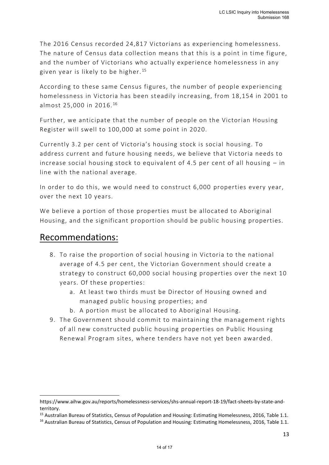The 2016 Census recorded 24,817 Victorians as experiencing homelessness. The nature of Census data collection means that this is a point in time figure, and the number of Victorians who actually experience homelessness in any given year is likely to be higher. <sup>15</sup>

According to these same Census figures, the number of people experiencing homelessness in Victoria has been steadily increasing, from 18,154 in 2001 to almost 25,000 in 2016. <sup>16</sup>

Further, we anticipate that the number of people on the Victorian Housing Register will swell to 100,000 at some point in 2020.

Currently 3.2 per cent of Victoria's housing stock is social housing. To address current and future housing needs, we believe that Victoria needs to increase social housing stock to equivalent of 4.5 per cent of all housing – in line with the national average.

In order to do this, we would need to construct 6,000 properties every year, over the next 10 years.

We believe a portion of those properties must be allocated to Aboriginal Housing, and the significant proportion should be public housing properties.

#### Recommendations:

- 8. To raise the proportion of social housing in Victoria to the national average of 4.5 per cent, the Victorian Government should create a strategy to construct 60,000 social housing properties over the next 10 years. Of these properties:
	- a. At least two thirds must be Director of Housing owned and managed public housing properties; and
	- b. A portion must be allocated to Aboriginal Housing.
- 9. The Government should commit to maintaining the management rights of all new constructed public housing properties on Public Housing Renewal Program sites, where t enders have not yet been awarded.

https://www.aihw.gov.au/reports/homelessness-services/shs-annual-report-18-19/fact-sheets-by-state-andterritory.

<sup>&</sup>lt;sup>15</sup> Australian Bureau of Statistics, Census of Population and Housing: Estimating Homelessness, 2016, Table 1.1.

<sup>&</sup>lt;sup>16</sup> Australian Bureau of Statistics, Census of Population and Housing: Estimating Homelessness, 2016, Table 1.1.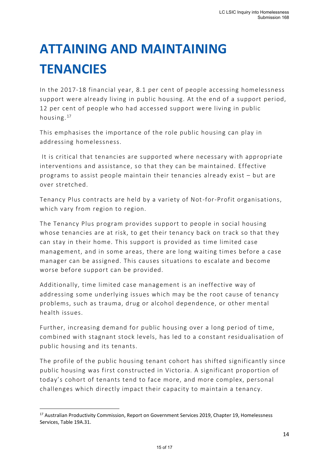# **ATTAINING AND MAINTAINING TENANCIES**

In the 2017-18 financial year, 8.1 per cent of people accessing homelessness support were already living in public housing. At the end of a support period, 12 per cent of people who had accessed support were living in public housing. <sup>17</sup>

This emphasises the importance of the role public housing can play in addressing homelessness.

It is critical that tenancies are supported where necessary with appropriate interventions and assistance, so that they can be maintained. Effective programs to assist people maintain their tenancies already exist – but are over stretched.

Tenancy Plus contracts are held by a variety of Not-for-Profit organisations, which vary from region to region.

The Tenancy Plus program provides support to people in social housing whose tenancies are at risk, to get their tenancy back on track so that they can stay in their home. This support is provided as time limited case management, and in some areas, there are long waiting times before a case manager can be assigned. This causes situations to escalate and become worse before support can be provided.

Additionally, time limited case management is an ineffective way of addressing some underlying issues which may be the root cause of tenancy problems, such as trauma, drug or alcohol dependence, or other mental health issues.

Further, increasing demand for public housing over a long period of time, combined with stagnant stock levels, has led to a constant residualisation of public housing and its tenants.

The profile of the public housing tenant cohort has shifted significantly since public housing was first constructed in Victoria. A significant proportion of today's cohort of tenants tend to face more, and more complex, personal challenges which directly impact their capacity to maintain a tenancy.

<sup>&</sup>lt;sup>17</sup> Australian Productivity Commission, Report on Government Services 2019, Chapter 19, Homelessness Services, Table 19A.31.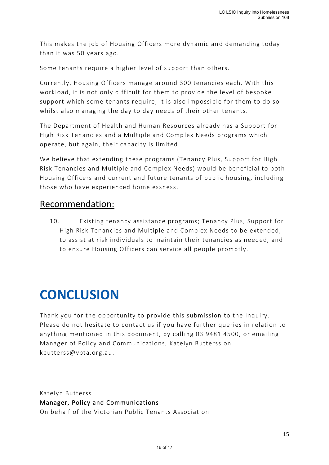This makes the job of Housing Officers more dynamic and demanding today than it was 50 years ago.

Some tenants require a higher level of support than others.

Currently, Housing Officers manage around 300 tenancies each. With this workload, it is not only difficult for them to provide the level of bespoke support which some tenants require, it is also impossible for them to do so whilst also managing the day to day needs of their other tenants.

The Department of Health and Human Resources already has a Support for High Risk Tenancies and a Multiple and Complex Needs programs which operate, but again, their capacity is limited.

We believe that extending these programs (Tenancy Plus, Support for High Risk Tenancies and Multiple and Complex Needs) would be beneficial to both Housing Officers and current and future tenants of public housing, including those who have experienced homelessness.

#### Recommendation:

10. Existing tenancy assistance programs; Tenancy Plus, Support for High Risk Tenancies and Multiple and Complex Needs to be extended, to assist at risk individuals to maintain their tenancies as needed, and to ensure Housing Officers can service all people promptly.

## **CONCLUSION**

Thank you for the opportunity to provide this submission to the Inquiry. Please do not hesitate to contact us if you have further queries in relation to anything mentioned in this document, by calling 03 9481 4500, or emailing Manager of Policy and Communications, Katelyn Butterss on kbutterss@vpta.org.au.

Katelyn Butterss Manager, Policy and Communications On behalf of the Victorian Public Tenants Association